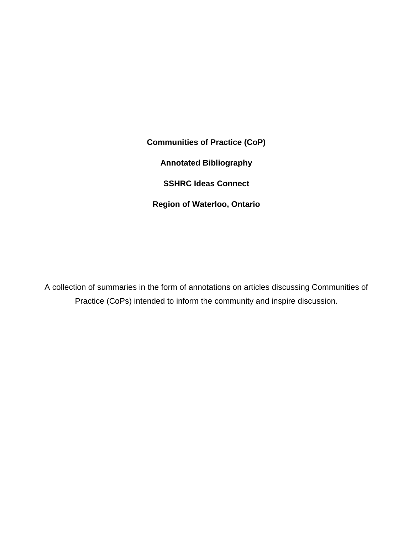**Communities of Practice (CoP) Annotated Bibliography SSHRC Ideas Connect Region of Waterloo, Ontario**

A collection of summaries in the form of annotations on articles discussing Communities of Practice (CoPs) intended to inform the community and inspire discussion.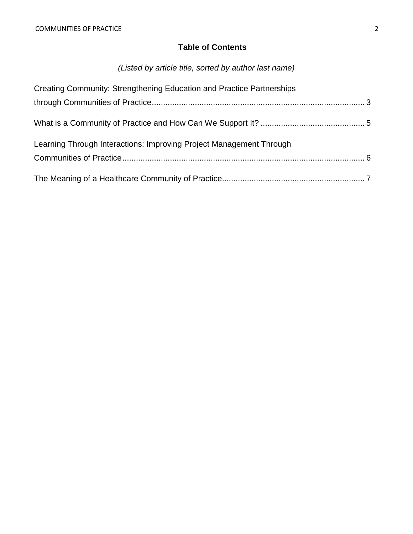# **Table of Contents**

# *(Listed by article title, sorted by author last name)*

| Creating Community: Strengthening Education and Practice Partnerships |  |
|-----------------------------------------------------------------------|--|
|                                                                       |  |
|                                                                       |  |
| Learning Through Interactions: Improving Project Management Through   |  |
|                                                                       |  |
|                                                                       |  |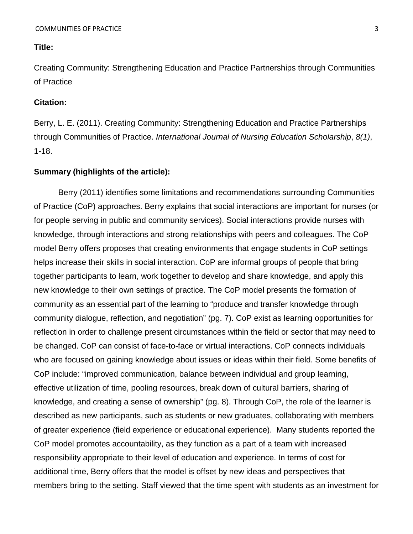<span id="page-2-0"></span>Creating Community: Strengthening Education and Practice Partnerships through Communities of Practice

# **Citation:**

Berry, L. E. (2011). Creating Community: Strengthening Education and Practice Partnerships through Communities of Practice. *International Journal of Nursing Education Scholarship*, *8(1)*, 1-18.

# **Summary (highlights of the article):**

Berry (2011) identifies some limitations and recommendations surrounding Communities of Practice (CoP) approaches. Berry explains that social interactions are important for nurses (or for people serving in public and community services). Social interactions provide nurses with knowledge, through interactions and strong relationships with peers and colleagues. The CoP model Berry offers proposes that creating environments that engage students in CoP settings helps increase their skills in social interaction. CoP are informal groups of people that bring together participants to learn, work together to develop and share knowledge, and apply this new knowledge to their own settings of practice. The CoP model presents the formation of community as an essential part of the learning to "produce and transfer knowledge through community dialogue, reflection, and negotiation" (pg. 7). CoP exist as learning opportunities for reflection in order to challenge present circumstances within the field or sector that may need to be changed. CoP can consist of face-to-face or virtual interactions. CoP connects individuals who are focused on gaining knowledge about issues or ideas within their field. Some benefits of CoP include: "improved communication, balance between individual and group learning, effective utilization of time, pooling resources, break down of cultural barriers, sharing of knowledge, and creating a sense of ownership" (pg. 8). Through CoP, the role of the learner is described as new participants, such as students or new graduates, collaborating with members of greater experience (field experience or educational experience). Many students reported the CoP model promotes accountability, as they function as a part of a team with increased responsibility appropriate to their level of education and experience. In terms of cost for additional time, Berry offers that the model is offset by new ideas and perspectives that members bring to the setting. Staff viewed that the time spent with students as an investment for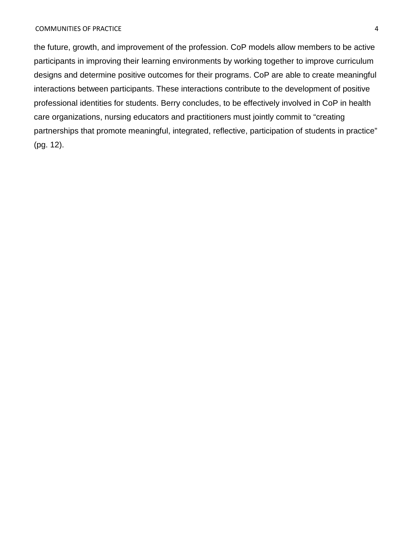the future, growth, and improvement of the profession. CoP models allow members to be active participants in improving their learning environments by working together to improve curriculum designs and determine positive outcomes for their programs. CoP are able to create meaningful interactions between participants. These interactions contribute to the development of positive professional identities for students. Berry concludes, to be effectively involved in CoP in health care organizations, nursing educators and practitioners must jointly commit to "creating partnerships that promote meaningful, integrated, reflective, participation of students in practice" (pg. 12).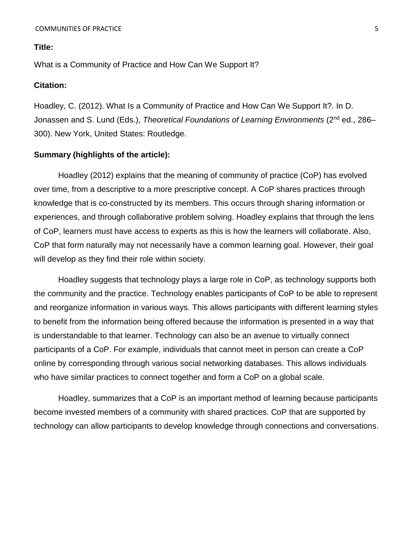<span id="page-4-0"></span>What is a Community of Practice and How Can We Support It?

#### **Citation:**

Hoadley, C. (2012). What Is a Community of Practice and How Can We Support It?. In D. Jonassen and S. Lund (Eds.), *Theoretical Foundations of Learning Environments* (2nd ed., 286– 300). New York, United States: Routledge.

# **Summary (highlights of the article):**

Hoadley (2012) explains that the meaning of community of practice (CoP) has evolved over time, from a descriptive to a more prescriptive concept. A CoP shares practices through knowledge that is co-constructed by its members. This occurs through sharing information or experiences, and through collaborative problem solving. Hoadley explains that through the lens of CoP, learners must have access to experts as this is how the learners will collaborate. Also, CoP that form naturally may not necessarily have a common learning goal. However, their goal will develop as they find their role within society.

Hoadley suggests that technology plays a large role in CoP, as technology supports both the community and the practice. Technology enables participants of CoP to be able to represent and reorganize information in various ways. This allows participants with different learning styles to benefit from the information being offered because the information is presented in a way that is understandable to that learner. Technology can also be an avenue to virtually connect participants of a CoP. For example, individuals that cannot meet in person can create a CoP online by corresponding through various social networking databases. This allows individuals who have similar practices to connect together and form a CoP on a global scale.

Hoadley, summarizes that a CoP is an important method of learning because participants become invested members of a community with shared practices. CoP that are supported by technology can allow participants to develop knowledge through connections and conversations.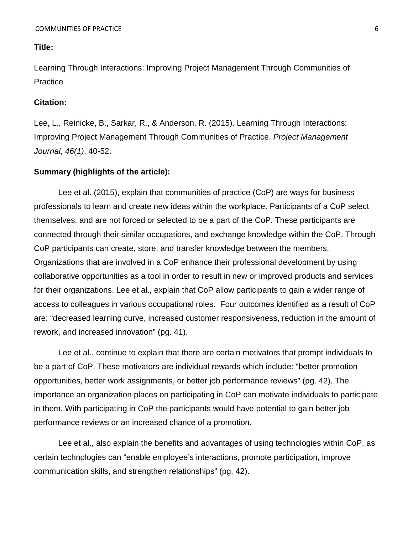<span id="page-5-0"></span>Learning Through Interactions: Improving Project Management Through Communities of **Practice** 

# **Citation:**

Lee, L., Reinicke, B., Sarkar, R., & Anderson, R. (2015). Learning Through Interactions: Improving Project Management Through Communities of Practice. *Project Management Journal*, *46(1)*, 40-52.

# **Summary (highlights of the article):**

Lee et al. (2015), explain that communities of practice (CoP) are ways for business professionals to learn and create new ideas within the workplace. Participants of a CoP select themselves, and are not forced or selected to be a part of the CoP. These participants are connected through their similar occupations, and exchange knowledge within the CoP. Through CoP participants can create, store, and transfer knowledge between the members. Organizations that are involved in a CoP enhance their professional development by using collaborative opportunities as a tool in order to result in new or improved products and services for their organizations. Lee et al., explain that CoP allow participants to gain a wider range of access to colleagues in various occupational roles. Four outcomes identified as a result of CoP are: "decreased learning curve, increased customer responsiveness, reduction in the amount of rework, and increased innovation" (pg. 41).

Lee et al., continue to explain that there are certain motivators that prompt individuals to be a part of CoP. These motivators are individual rewards which include: "better promotion opportunities, better work assignments, or better job performance reviews" (pg. 42). The importance an organization places on participating in CoP can motivate individuals to participate in them. With participating in CoP the participants would have potential to gain better job performance reviews or an increased chance of a promotion.

Lee et al., also explain the benefits and advantages of using technologies within CoP, as certain technologies can "enable employee's interactions, promote participation, improve communication skills, and strengthen relationships" (pg. 42).